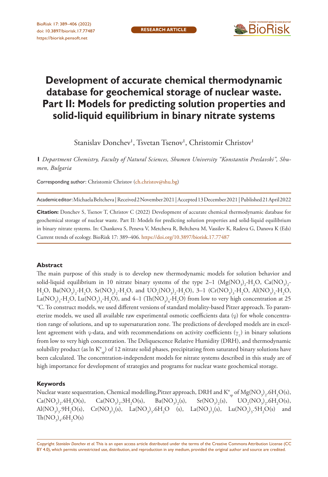

# **Development of accurate chemical thermodynamic database for geochemical storage of nuclear waste. Part II: Models for predicting solution properties and solid-liquid equilibrium in binary nitrate systems**

Stanislav Donchev<sup>1</sup>, Tsvetan Tsenov<sup>1</sup>, Christomir Christov<sup>1</sup>

**1** *Department Chemistry, Faculty of Natural Sciences, Shumen University "Konstantin Preslavski", Shumen, Bulgaria*

Corresponding author: Christomir Christov ([ch.christov@shu.bg](mailto:ch.christov@shu.bg))

Academic editor: Michaela Beltcheva | Received 2 November 2021 | Accepted 13 December 2021 | Published 21 April 2022

**Citation:** Donchev S, Tsenov T, Christov C (2022) Development of accurate chemical thermodynamic database for geochemical storage of nuclear waste. Part II: Models for predicting solution properties and solid-liquid equilibrium in binary nitrate systems. In: Chankova S, Peneva V, Metcheva R, Beltcheva M, Vassilev K, Radeva G, Danova K (Eds) Current trends of ecology. BioRisk 17: 389–406. <https://doi.org/10.3897/biorisk.17.77487>

#### **Abstract**

The main purpose of this study is to develop new thermodynamic models for solution behavior and solid-liquid equilibrium in 10 nitrate binary systems of the type 2–1  $(\text{Mg}(\text{NO}_3)_2\text{-H}_2\text{O}, \text{Ca}(\text{NO}_3)_2\text{-}$  $H_2O$ , Ba(NO<sub>3</sub>)<sub>2</sub>-H<sub>2</sub>O, Sr(NO<sub>3</sub>)<sub>2</sub>-H<sub>2</sub>O, and UO<sub>2</sub>(NO<sub>3</sub>)<sub>2</sub>-H<sub>2</sub>O), 3–1 (Cr(NO<sub>3</sub>)<sub>3</sub>-H<sub>2</sub>O, Al(NO<sub>3</sub>)<sub>3</sub>-H<sub>2</sub>O, La(NO<sub>3</sub>)<sub>3</sub>-H<sub>2</sub>O, Lu(NO<sub>3</sub>)<sub>3</sub>-H<sub>2</sub>O), and 4–1 (Th(NO<sub>3</sub>)<sub>4</sub>-H<sub>2</sub>O) from low to very high concentration at 25 °C. To construct models, we used different versions of standard molality-based Pitzer approach. To parameterize models, we used all available raw experimental osmotic coefficients data  $(\varphi)$  for whole concentration range of solutions, and up to supersaturation zone. The predictions of developed models are in excellent agreement with φ-data, and with recommendations on activity coefficients  $(\gamma_+)$  in binary solutions from low to very high concentration. The Deliquescence Relative Humidity (DRH), and thermodynamic solubility product (as ln  $K^{\circ}_{sp}$ ) of 12 nitrate solid phases, precipitating from saturated binary solutions have been calculated. The concentration-independent models for nitrate systems described in this study are of high importance for development of strategies and programs for nuclear waste geochemical storage.

#### **Keywords**

Nuclear waste sequestration, Chemical modelling,Pitzer approach, DRH and  $\mathrm{K}^\circ_\mathrm{sp}$  of  $\mathrm{Mg}(\mathrm{NO}_3)_2\text{.}6\mathrm{H}_2\mathrm{O}(\mathrm{s}),$  $Ca(NO_3)_2.4H_2$ O(s),  $Ca(NO_3)_2.3H_2O(s)$ ,  $Ba(NO_3)_2$ (s),  $Sr(NO<sub>3</sub>)<sub>2</sub>$ (s),  $UO_2(NO_3)_2.6H_2O(s)$ ,  $Al(NO<sub>3</sub>)<sub>3</sub>$ ,  $9H<sub>2</sub>O(s)$ ,  $Cr(NO<sub>3</sub>)<sub>3</sub>(s)$ ,  $La(NO<sub>3</sub>)<sub>3</sub>$ ,  $6H<sub>2</sub>O$  (s),  $La(NO<sub>3</sub>)<sub>3</sub>(s)$ ,  $Lu(NO<sub>3</sub>)<sub>3</sub>$ ,  $5H<sub>2</sub>O(s)$  and  $\text{Th}(\text{NO}_3)_4\text{.}6\text{H}_2\text{O(s)}$ 

Copyright *Stanislav Donchev et al.* This is an open access article distributed under the terms of the [Creative Commons Attribution License \(CC](http://creativecommons.org/licenses/by/4.0/)  [BY 4.0\)](http://creativecommons.org/licenses/by/4.0/), which permits unrestricted use, distribution, and reproduction in any medium, provided the original author and source are credited.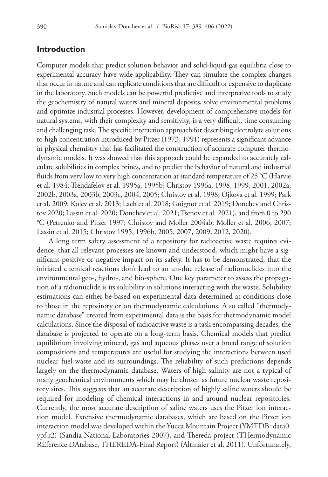## **Introduction**

Computer models that predict solution behavior and solid-liquid-gas equilibria close to experimental accuracy have wide applicability. They can simulate the complex changes that occur in nature and can replicate conditions that are difficult or expensive to duplicate in the laboratory. Such models can be powerful predictive and interpretive tools to study the geochemistry of natural waters and mineral deposits, solve environmental problems and optimize industrial processes. However, development of comprehensive models for natural systems, with their complexity and sensitivity, is a very difficult, time consuming and challenging task. The specific interaction approach for describing electrolyte solutions to high concentration introduced by Pitzer (1973, 1991) represents a significant advance in physical chemistry that has facilitated the construction of accurate computer thermodynamic models. It was showed that this approach could be expanded to accurately calculate solubilities in complex brines, and to predict the behavior of natural and industrial fluids from very low to very high concentration at standard temperature of 25 °C (Harvie et al. 1984; Trendafelov et al. 1995a, 1995b; Christov 1996a, 1998, 1999, 2001, 2002a, 2002b, 2003a, 2003b, 2003c, 2004, 2005; Christov et al. 1998; Ojkova et al. 1999; Park et al. 2009; Kolev et al. 2013; Lach et al. 2018; Guignot et al. 2019; Donchev and Christov 2020; Lassin et al. 2020; Donchev et al. 2021; Tsenov et al. 2021), and from 0 to 290 °C (Petrenko and Pitzer 1997; Christov and Moller 2004ab; Moller et al. 2006, 2007; Lassin et al. 2015; Christov 1995, 1996b, 2005, 2007, 2009, 2012, 2020).

A long term safety assessment of a repository for radioactive waste requires evidence, that all relevant processes are known and understood, which might have a significant positive or negative impact on its safety. It has to be demonstrated, that the initiated chemical reactions don't lead to an un-due release of radionuclides into the environmental geo-, hydro-, and bio-sphere. One key parameter to assess the propagation of a radionuclide is its solubility in solutions interacting with the waste. Solubility estimations can either be based on experimental data determined at conditions close to those in the repository or on thermodynamic calculations. A so called "thermodynamic database" created from experimental data is the basis for thermodynamic model calculations. Since the disposal of radioactive waste is a task encompassing decades, the database is projected to operate on a long-term basis. Chemical models that predict equilibrium involving mineral, gas and aqueous phases over a broad range of solution compositions and temperatures are useful for studying the interactions between used nuclear fuel waste and its surroundings. The reliability of such predictions depends largely on the thermodynamic database. Waters of high salinity are not a typical of many geochemical environments which may be chosen as future nuclear waste repository sites. This suggests that an accurate description of highly saline waters should be required for modeling of chemical interactions in and around nuclear repositories. Currently, the most accurate description of saline waters uses the Pitzer ion interaction model. Extensive thermodynamic databases, which are based on the Pitzer ion interaction model was developed within the Yucca Mountain Project (YMTDB: data0. ypf.r2) (Sandia National Laboratories 2007), and Thereda project (THermodynamic REference DAtabase, THEREDA-Final Report) (Altmaier et al. 2011). Unfortunately,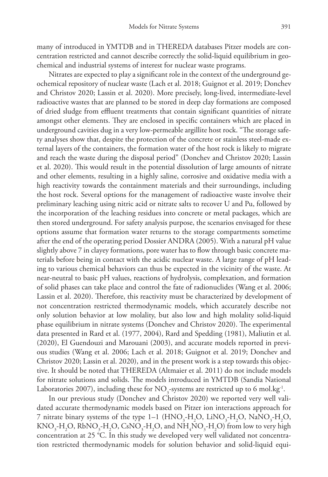many of introduced in YMTDB and in THEREDA databases Pitzer models are concentration restricted and cannot describe correctly the solid-liquid equilibrium in geochemical and industrial systems of interest for nuclear waste programs.

Nitrates are expected to play a significant role in the context of the underground geochemical repository of nuclear waste (Lach et al. 2018; Guignot et al. 2019; Donchev and Christov 2020; Lassin et al. 2020). More precisely, long-lived, intermediate-level radioactive wastes that are planned to be stored in deep clay formations are composed of dried sludge from effluent treatments that contain significant quantities of nitrate amongst other elements. They are enclosed in specific containers which are placed in underground cavities dug in a very low-permeable argillite host rock. "The storage safety analyses show that, despite the protection of the concrete or stainless steel-made external layers of the containers, the formation water of the host rock is likely to migrate and reach the waste during the disposal period" (Donchev and Christov 2020; Lassin et al. 2020). This would result in the potential dissolution of large amounts of nitrate and other elements, resulting in a highly saline, corrosive and oxidative media with a high reactivity towards the containment materials and their surroundings, including the host rock. Several options for the management of radioactive waste involve their preliminary leaching using nitric acid or nitrate salts to recover U and Pu, followed by the incorporation of the leaching residues into concrete or metal packages, which are then stored underground. For safety analysis purpose, the scenarios envisaged for these options assume that formation water returns to the storage compartments sometime after the end of the operating period Dossier ANDRA (2005). With a natural pH value slightly above 7 in clayey formations, pore water has to flow through basic concrete materials before being in contact with the acidic nuclear waste. A large range of pH leading to various chemical behaviors can thus be expected in the vicinity of the waste. At near-neutral to basic pH values, reactions of hydrolysis, complexation, and formation of solid phases can take place and control the fate of radionuclides (Wang et al. 2006; Lassin et al. 2020). Therefore, this reactivity must be characterized by development of not concentration restricted thermodynamic models, which accurately describe not only solution behavior at low molality, but also low and high molality solid-liquid phase equilibrium in nitrate systems (Donchev and Christov 2020). The experimental data presented in Rard et al. (1977, 2004), Rard and Spedding (1981), Maliutin et al. (2020), El Guendouzi and Marouani (2003), and accurate models reported in previous studies (Wang et al. 2006; Lach et al. 2018; Guignot et al. 2019; Donchev and Christov 2020; Lassin et al. 2020), and in the present work is a step towards this objective. It should be noted that THEREDA (Altmaier et al. 2011) do not include models for nitrate solutions and solids. The models introduced in YMTDB (Sandia National Laboratories 2007), including these for  $\rm NO_{_3}$ -systems are restricted up to 6 mol.kg<sup>-1</sup>.

In our previous study (Donchev and Christov 2020) we reported very well validated accurate thermodynamic models based on Pitzer ion interactions approach for 7 nitrate binary systems of the type  $1-1$  ( $HNO<sub>3</sub>-H<sub>2</sub>O$ ,  $LINO<sub>3</sub>-H<sub>2</sub>O$ ,  $NaNO<sub>3</sub>-H<sub>2</sub>O$ ,  $\text{KNO}_3\text{-H}_2\text{O}, \text{RbNO}_3\text{-H}_2\text{O}, \text{CsNO}_3\text{-H}_2\text{O}, \text{and }\text{NH}_4\text{NO}_3\text{-H}_2\text{O} \text{ from low to very high}$ concentration at 25 °C. In this study we developed very well validated not concentration restricted thermodynamic models for solution behavior and solid-liquid equi-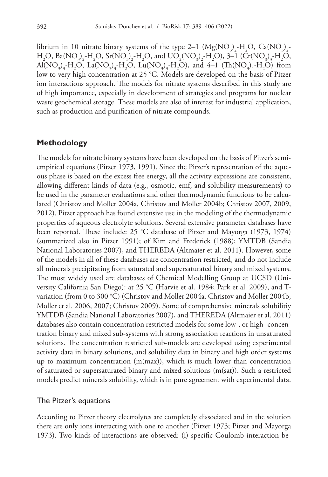librium in 10 nitrate binary systems of the type 2–1 ( $Mg(NO_3)_2-H_2O$ ,  $Ca(NO_3)_2$ - $H_2O$ , Ba(NO<sub>3</sub>)<sub>2</sub>-H<sub>2</sub>O, Sr(NO<sub>3</sub>)<sub>2</sub>-H<sub>2</sub>O, and UO<sub>2</sub>(NO<sub>3</sub>)<sub>2</sub>-H<sub>2</sub>O), 3–1 (Cr(NO<sub>3</sub>)<sub>3</sub>-H<sub>2</sub>O,  $\text{Al}(\text{NO}_3)_{3}$ -H<sub>2</sub>O, La(NO<sub>3</sub>)<sub>3</sub>-H<sub>2</sub>O, Lu(NO<sub>3</sub>)<sub>3</sub>-H<sub>2</sub>O), and 4–1 (Th(NO<sub>3</sub>)<sub>4</sub>-H<sub>2</sub>O) from low to very high concentration at 25 °C. Models are developed on the basis of Pitzer ion interactions approach. The models for nitrate systems described in this study are of high importance, especially in development of strategies and programs for nuclear waste geochemical storage. These models are also of interest for industrial application, such as production and purification of nitrate compounds.

### **Methodology**

The models for nitrate binary systems have been developed on the basis of Pitzer's semiempirical equations (Pitzer 1973, 1991). Since the Pitzer's representation of the aqueous phase is based on the excess free energy, all the activity expressions are consistent, allowing different kinds of data (e.g., osmotic, emf, and solubility measurements) to be used in the parameter evaluations and other thermodynamic functions to be calculated (Christov and Moller 2004a, Christov and Moller 2004b; Christov 2007, 2009, 2012). Pitzer approach has found extensive use in the modeling of the thermodynamic properties of aqueous electrolyte solutions. Several extensive parameter databases have been reported. These include: 25 °C database of Pitzer and Mayorga (1973, 1974) (summarized also in Pitzer 1991); of Kim and Frederick (1988); YMTDB (Sandia National Laboratories 2007), and THEREDA (Altmaier et al. 2011). However, some of the models in all of these databases are concentration restricted, and do not include all minerals precipitating from saturated and supersaturated binary and mixed systems. The most widely used are databases of Chemical Modelling Group at UCSD (University California San Diego): at 25 °C (Harvie et al. 1984; Park et al. 2009), and Tvariation (from 0 to 300 °C) (Christov and Moller 2004a, Christov and Moller 2004b; Moller et al. 2006, 2007; Christov 2009). Some of comprehensive minerals solubilitiy YMTDB (Sandia National Laboratories 2007), and THEREDA (Altmaier et al. 2011) databases also contain concentration restricted models for some low-, or high- concentration binary and mixed sub-systems with strong association reactions in unsaturated solutions. The concentration restricted sub-models are developed using experimental activity data in binary solutions, and solubility data in binary and high order systems up to maximum concentration  $(m(max))$ , which is much lower than concentration of saturated or supersaturated binary and mixed solutions (m(sat)). Such a restricted models predict minerals solubility, which is in pure agreement with experimental data.

#### The Pitzer's equations

According to Pitzer theory electrolytes are completely dissociated and in the solution there are only ions interacting with one to another (Pitzer 1973; Pitzer and Mayorga 1973). Two kinds of interactions are observed: (i) specific Coulomb interaction be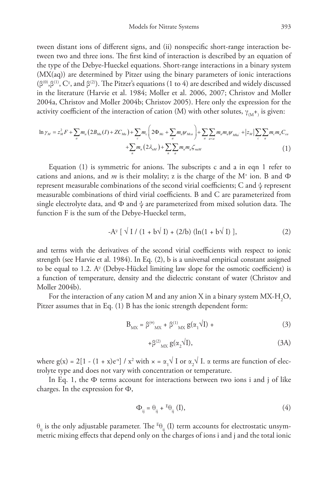tween distant ions of different signs, and (ii) nonspecific short-range interaction between two and three ions. The first kind of interaction is described by an equation of the type of the Debye-Hueckel equations. Short-range interactions in a binary system (MX(aq)) are determined by Pitzer using the binary parameters of ionic interactions (β<sup>(0)</sup>,β<sup>(1)</sup>, C<sup>φ</sup>, and β<sup>(2)</sup>). The Pitzer's equations (1 to 4) are described and widely discussed in the literature (Harvie et al. 1984; Moller et al. 2006, 2007; Christov and Moller 2004a, Christov and Moller 2004b; Christov 2005). Here only the expression for the activity coefficient of the interaction of cation (M) with other solutes,  $\gamma_{({\rm M}^\pm)}$  is given:

$$
\ln \gamma_M = z_M^2 F + \sum_a m_a \left( 2B_{Ma} (I) + Z C_{Ma} \right) + \sum_c m_c \left( 2\Phi_{Mc} + \sum_a m_a \psi_{Mca} \right) + \sum_a \sum_{a < a} m_a m_a \psi_{Mca} + |z_M| \sum_c \sum_a m_c m_a C_{ca}
$$
  
+ 
$$
\sum_n m_n \left( 2\lambda_{nM} \right) + \sum_n \sum_a m_n m_a \zeta_{naM} \tag{1}
$$

Equation (1) is symmetric for anions. The subscripts c and a in eqn 1 refer to cations and anions, and *m* is their molality; z is the charge of the M<sup>+</sup> ion. B and  $\Phi$ represent measurable combinations of the second virial coefficients; C and  $\psi$  represent measurable combinations of third virial coefficients. B and C are parameterized from single electrolyte data, and  $\Phi$  and  $\psi$  are parameterized from mixed solution data. The function F is the sum of the Debye-Hueckel term,

$$
-A^{\varphi}
$$
 [  $\sqrt{I}/(1 + b\sqrt{I}) + (2/b) (\ln(1 + b\sqrt{I}))$  ], (2)

and terms with the derivatives of the second virial coefficients with respect to ionic strength (see Harvie et al. 1984). In Eq. (2), b is a universal empirical constant assigned to be equal to 1.2. A<sup>®</sup> (Debye-Hückel limiting law slope for the osmotic coefficient) is a function of temperature, density and the dielectric constant of water (Christov and Moller 2004b).

For the interaction of any cation M and any anion X in a binary system  $\text{MX-H}_{\text{2}}\text{O},$ Pitzer assumes that in Eq. (1) B has the ionic strength dependent form:

$$
B_{MX} = \beta^{(0)}{}_{MX} + \beta^{(1)}{}_{MX} g(\alpha_1 \sqrt{I}) +
$$
 (3)

$$
+\beta^{(2)}{}_{\rm MX}g(\alpha_2\sqrt{I}),\tag{3A}
$$

where g(x) = 2[1 - (1 + x)e<sup>-x</sup>] / x<sup>2</sup> with  $x = \alpha_1 \sqrt{1}$  or  $\alpha_2 \sqrt{1}$ .  $\alpha$  terms are function of electrolyte type and does not vary with concentration or temperature.

In Eq. 1, the  $\Phi$  terms account for interactions between two ions i and j of like charges. In the expression for Φ,

$$
\Phi_{ij} = \Theta_{ij} + {}^{E}\theta_{ij} (I), \tag{4}
$$

 $\theta_{ij}$  is the only adjustable parameter. The <sup>E</sup> $\theta_{ij}$  (I) term accounts for electrostatic unsymmetric mixing effects that depend only on the charges of ions i and j and the total ionic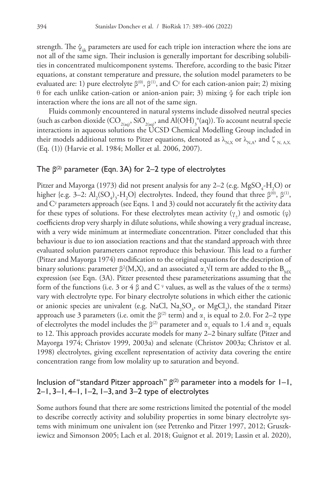strength. The  $\psi_{ijk}$  parameters are used for each triple ion interaction where the ions are not all of the same sign. Their inclusion is generally important for describing solubilities in concentrated multicomponent systems. Therefore, according to the basic Pitzer equations, at constant temperature and pressure, the solution model parameters to be evaluated are: 1) pure electrolyte  $\beta^{(0)}$ ,  $\beta^{(1)}$ , and  $C^{\varphi}$  for each cation-anion pair; 2) mixing θ for each unlike cation-cation or anion-anion pair; 3) mixing ψ for each triple ion interaction where the ions are all not of the same sign.

Fluids commonly encountered in natural systems include dissolved neutral species (such as carbon dioxide  $(CO_{2(aq)}, SiO_{2(aq)}, and Al(OH)^{\circ}_{3}(aq))$ . To account neutral specie interactions in aqueous solutions the UCSD Chemical Modelling Group included in their models additional terms to Pitzer equations, denoted as  $\lambda_{N,X}$  or  $\lambda_{N,A}$ , and  $\zeta_{N,A,X}$ (Eq. (1)) (Harvie et al. 1984; Moller et al. 2006, 2007).

## The **β**(2) parameter (Eqn. 3A) for 2–2 type of electrolytes

Pitzer and Mayorga (1973) did not present analysis for any 2–2 (e.g. MgSO<sub>4</sub>-H<sub>2</sub>O) or higher {e.g. 3–2:  $Al_2(SO_4)_3-H_2O$ } electrolytes. Indeed, they found that three  $\beta^{(0)}$ ,  $\beta^{(1)}$ , and  $\mathrm{C}^\circ$  parameters approach (see Eqns. 1 and 3) could not accurately fit the activity data for these types of solutions. For these electrolytes mean activity  $(\gamma_+)$  and osmotic  $(\varphi)$ coefficients drop very sharply in dilute solutions, while showing a very gradual increase, with a very wide minimum at intermediate concentration. Pitzer concluded that this behaviour is due to ion association reactions and that the standard approach with three evaluated solution parameters cannot reproduce this behaviour. This lead to a further (Pitzer and Mayorga 1974) modification to the original equations for the description of binary solutions: parameter β $^2$ (M,X), and an associated  $\alpha_{_2}$ √I term are added to the  $\rm B_{_{MX}}$ expression (see Eqn. (3A). Pitzer presented these parameterizations assuming that the form of the functions (i.e. 3 or 4 β and C  $\degree$  values, as well as the values of the α terms) vary with electrolyte type. For binary electrolyte solutions in which either the cationic or anionic species are univalent (e.g. NaCl,  $\text{Na}_2\text{SO}_4$ , or  $\text{MgCl}_2$ ), the standard Pitzer approach use 3 parameters (i.e. omit the  $\beta^{(2)}$  term) and  $\alpha_1$  is equal to 2.0. For 2–2 type of electrolytes the model includes the  $\beta^{(2)}$  parameter and  $\alpha_1$  equals to 1.4 and  $\alpha_2$  equals to 12. This approach provides accurate models for many 2–2 binary sulfate (Pitzer and Mayorga 1974; Christov 1999, 2003a) and selenate (Christov 2003a; Christov et al. 1998) electrolytes, giving excellent representation of activity data covering the entire concentration range from low molality up to saturation and beyond.

## Inclusion of "standard Pitzer approach" **β**(2) parameter into a models for 1–1, 2–1, 3–1, 4–1, 1–2, 1–3, and 3–2 type of electrolytes

Some authors found that there are some restrictions limited the potential of the model to describe correctly activity and solubility properties in some binary electrolyte systems with minimum one univalent ion (see Petrenko and Pitzer 1997, 2012; Gruszkiewicz and Simonson 2005; Lach et al. 2018; Guignot et al. 2019; Lassin et al. 2020),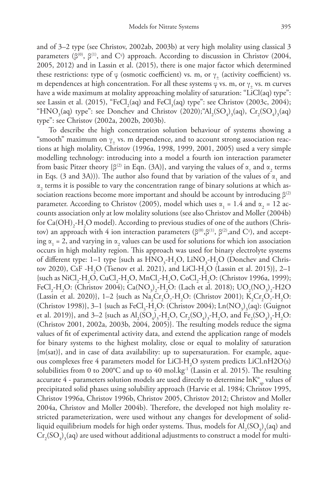and of 3–2 type (see Christov, 2002ab, 2003b) at very high molality using classical 3 parameters ( $\beta^{(0)}$ ,  $\beta^{(1)}$ , and  $C^{\varphi}$ ) approach. According to discussion in Christov (2004, 2005, 2012) and in Lassin et al. (2015), there is one major factor which determined these restrictions: type of  $\varphi$  (osmotic coefficient) vs. m, or  $\gamma_+$  (activity coefficient) vs. m dependences at high concentration. For all these systems  $\varphi$  vs. m, or  $\gamma_+$  vs. m curves have a wide maximum at molality approaching molality of saturation: "LiCl(aq) type": see Lassin et al. (2015), "FeCl<sub>2</sub>(aq) and FeCl<sub>3</sub>(aq) type": see Christov (2003c, 2004); "HNO<sub>3</sub>(aq) type": see Donchev and Christov (2020); "Al<sub>2</sub>(SO<sub>4</sub>)<sub>3</sub>(aq), Cr<sub>2</sub>(SO<sub>4</sub>)<sub>3</sub>(aq) type": see Christov (2002a, 2002b, 2003b).

To describe the high concentration solution behaviour of systems showing a "smooth" maximum on  $\gamma_+$  vs. m dependence, and to account strong association reactions at high molality, Christov (1996a, 1998, 1999, 2001, 2005) used a very simple modelling technology: introducing into a model a fourth ion interaction parameter from basic Pitzer theory { $\beta$ <sup>(2)</sup> in Eqn. (3A)}, and varying the values of  $\alpha_1$  and  $\alpha_2$  terms in Eqs. (3 and 3A))). The author also found that by variation of the values of  $\alpha_1$  and  $\alpha_2$  terms it is possible to vary the concentration range of binary solutions at which association reactions become more important and should be account by introducing  $\beta^{(2)}$ parameter. According to Christov (2005), model which uses  $\alpha_1 = 1.4$  and  $\alpha_2 = 12$  accounts association only at low molality solutions (see also Christov and Moller (2004b) for  $Ca(OH)_2-H_2O$  model). According to previous studies of one of the authors (Christov) an approach with 4 ion interaction parameters (β<sup>(0)</sup>,β<sup>(1)</sup>, β<sup>(2)</sup>,and C°), and accepting  $\alpha_1 = 2$ , and varying in  $\alpha_2$  values can be used for solutions for which ion association occurs in high molality region. This approach was used for binary electrolyte systems of different type: 1–1 type {such as  $\text{HNO}_3\text{-H}_2\text{O}$ ,  $\text{LiNO}_3\text{-H}_2\text{O}$  (Donchev and Christov 2020), CsF -H<sub>2</sub>O (Tsenov et al. 2021), and LiCl-H<sub>2</sub>O (Lassin et al. 2015)}, 2–1 {such as NiCl<sub>2</sub>-H<sub>2</sub>O, CuCl<sub>2</sub>-H<sub>2</sub>O, MnCl<sub>2</sub>-H<sub>2</sub>O, CoCl<sub>2</sub>-H<sub>2</sub>O: (Christov 1996a, 1999); FeCl<sub>2</sub>-H<sub>2</sub>O: (Christov 2004); Ca(NO<sub>3</sub>)<sub>2</sub>-H<sub>2</sub>O: (Lach et al. 2018); UO<sub>2</sub>(NO<sub>3</sub>)<sub>2</sub>-H2O (Lassin et al. 2020)}, 1–2 {such as  $\text{Na}_2\text{Cr}_2\text{O}_7\text{-H}_2\text{O}$ : (Christov 2001);  $\text{K}_2\text{Cr}_2\text{O}_7\text{-H}_2\text{O}$ : (Christov 1998)}, 3–1 {such as FeCl<sub>3</sub>-H<sub>2</sub>O: (Christov 2004); Ln(NO<sub>3</sub>)<sub>3</sub>(aq): (Guignot et al. 2019)}, and 3–2 {such as  $Al_2(SO_4)_3$ -H<sub>2</sub>O, Cr<sub>2</sub>(SO<sub>4</sub>)<sub>3</sub>-H<sub>2</sub>O, and Fe<sub>2</sub>(SO<sub>4</sub>)<sub>3</sub>-H<sub>2</sub>O: (Christov 2001, 2002a, 2003b, 2004, 2005)}. The resulting models reduce the sigma values of fit of experimental activity data, and extend the application range of models for binary systems to the highest molality, close or equal to molality of saturation {m(sat)}, and in case of data availability: up to supersaturation. For example, aqueous complexes free 4 parameters model for LiCl-H<sub>2</sub>O system predicts LiCl.nH2O(s) solubilities from 0 to 200 $\degree$ C and up to 40 mol.kg<sup>-1</sup> (Lassin et al. 2015). The resulting accurate  $4$  - parameters solution models are used directly to determine  $\ln K^\circ_{\infty}$  values of precipitated solid phases using solubility approach (Harvie et al. 1984; Christov 1995, Christov 1996a, Christov 1996b, Christov 2005, Christov 2012; Christov and Moller 2004a, Christov and Moller 2004b). Therefore, the developed not high molality restricted parameterization, were used without any changes for development of solidliquid equilibrium models for high order systems. Thus, models for  $\mathrm{Al}_2(\mathrm{SO}_4)_3(\mathrm{aq})$  and  $\rm Cr_2(SO_4)_3(aq)$  are used without additional adjustments to construct a model for multi-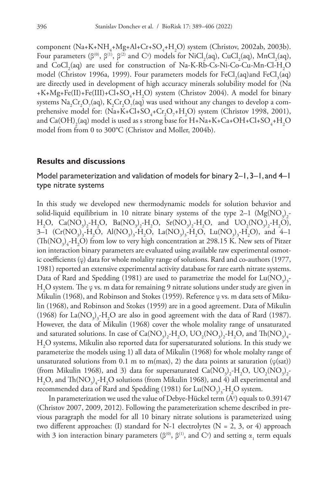component (Na+K+NH<sub>4</sub>+Mg+Al+Cr+SO<sub>4</sub>+H<sub>2</sub>O) system (Christov, 2002ab, 2003b). Four parameters ( $\beta^{(0)}$ ,  $\beta^{(1)}$ ,  $\beta^{(2)}$  and  $C^{\varphi}$ ) models for NiCl<sub>2</sub>(aq), CuCl<sub>2</sub>(aq), MnCl<sub>2</sub>(aq), and  $CoCl<sub>2</sub>(aq)$  are used for construction of Na-K-Rb-Cs-Ni-Co-Cu-Mn-Cl-H<sub>2</sub>O model (Christov 1996a, 1999). Four parameters models for  $FeCl<sub>2</sub>(aq)$  and  $FeCl<sub>3</sub>(aq)$ are directly used in development of high accuracy minerals solubility model for (Na +K+Mg+Fe(II)+Fe(III)+Cl+SO<sub>4</sub>+H<sub>2</sub>O) system (Christov 2004). A model for binary systems  $\rm Na_{2}Cr_{2}O_{7} (aq),~K_{2}Cr_{2}O_{7} (aq)$  was used without any changes to develop a comprehensive model for:  $(Na+K+Cl+SO_4+Cr_2O_7+H_2O)$  system (Christov 1998, 2001), and Ca(OH)<sub>2</sub>(aq) model is used as s strong base for H+Na+K+Ca+OH+Cl+SO<sub>4</sub>+H<sub>2</sub>O model from from 0 to 300°C (Christov and Moller, 2004b).

#### **Results and discussions**

# Model parameterization and validation of models for binary 2–1, 3–1, and 4–1 type nitrate systems

In this study we developed new thermodynamic models for solution behavior and solid-liquid equilibrium in 10 nitrate binary systems of the type 2–1  $(Mg(NO<sub>3</sub>)<sub>2</sub>$ - $H_2O$ ,  $Ca(NO_3)_2-H_2O$ ,  $Ba(NO_3)_2-H_2O$ ,  $Sr(NO_3)_2-H_2O$ , and  $UO_2(NO_3)_2-H_2O$ ), 3–1  $(Cr(NO_3)_3-H_2O, Al(NO_3)_3-H_2O, La(NO_3)_3-H_2O, Lu(NO_3)_3-H_2O), and 4-1$  $(Th(NO<sub>3</sub>)<sub>4</sub>-H<sub>2</sub>O)$  from low to very high concentration at 298.15 K. New sets of Pitzer ion interaction binary parameters are evaluated using available raw experimental osmotic coefficients (φ) data for whole molality range of solutions. Rard and co-authors (1977, 1981) reported an extensive experimental activity database for rare earth nitrate systems. Data of Rard and Spedding (1981) are used to parametrize the model for  $\text{Lu}(\text{NO}_3)_3$ - $\rm H_2O$  system. The φ vs. m data for remaining 9 nitrate solutions under study are given in Mikulin (1968), and Robinson and Stokes (1959). Reference φ vs. m data sets of Mikulin (1968), and Robinson and Stokes (1959) are in a good agreement. Data of Mikulin (1968) for  $LaNO<sub>3</sub>)<sub>3</sub>-H<sub>2</sub>O$  are also in good agreement with the data of Rard (1987). However, the data of Mikulin (1968) cover the whole molality range of unsaturated and saturated solutions. In case of  $\text{Ca}(\text{NO}_3)_2\text{-H}_2\text{O}$ ,  $\text{UO}_2(\text{NO}_3)_2\text{-H}_2\text{O}$ , and  $\text{Th}(\text{NO}_3)_4\text{-}$  $\rm H_2O$  systems, Mikulin also reported data for supersaturated solutions. In this study we parameterize the models using 1) all data of Mikulin (1968) for whole molalty range of unsaturated solutions from 0.1 m to m(max), 2) the data points at saturation ( $\varphi$ (sat)) (from Mikulin 1968), and 3) data for supersaturated  $Ca(\text{NO}_3)_2\text{-H}_2\text{O}$ ,  $\text{U}\text{O}_2(\text{NO}_3)_2\text{-}$  $H_2O$ , and  $Th(NO_3)_4$ - $H_2O$  solutions (from Mikulin 1968), and 4) all experimental and recommended data of Rard and Spedding (1981) for  $\text{Lu}(\text{NO}_3)_3\text{-}\text{H}_2\text{O}$  system.

In parameterization we used the value of Debye-Hückel term (Aº) equals to 0.39147 (Christov 2007, 2009, 2012). Following the parameterization scheme described in previous paragraph the model for all 10 binary nitrate solutions is parameterized using two different approaches: (I) standard for N-1 electrolytes ( $N = 2, 3$ , or 4) approach with 3 ion interaction binary parameters ( $\beta^{(0)}$ ,  $\beta^{(1)}$ , and  $C^{\varphi}$ ) and setting  $\alpha_1$  term equals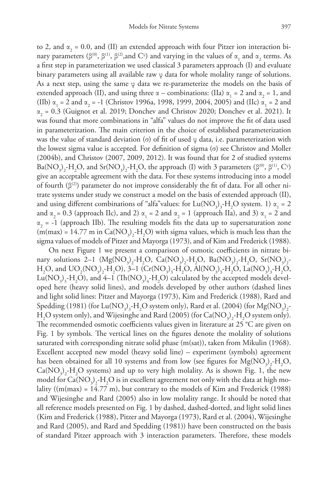to 2, and  $\alpha_2 = 0.0$ , and (II) an extended approach with four Pitzer ion interaction binary parameters ( $\beta^{(0)}$ ,  $\beta^{(1)}$ ,  $\beta^{(2)}$ , and  $C^{\varphi}$ ) and varying in the values of  $\alpha_1$  and  $\alpha_2$  terms. As a first step in parameterization we used classical 3 parameters approach (I) and evaluate binary parameters using all available raw φ data for whole molality range of solutions. As a next step, using the same  $\varphi$  data we re-parameterize the models on the basis of extended approach (II), and using three  $\alpha$  – combinations: (IIa)  $\alpha_1 = 2$  and  $\alpha_2 = 1$ , and (IIb)  $\alpha_1 = 2$  and  $\alpha_2 = -1$  (Christov 1996a, 1998, 1999, 2004, 2005) and (IIc)  $\alpha_1 = 2$  and  $\alpha_2$  = 0.3 (Guignot et al. 2019; Donchev and Christov 2020; Donchev et al. 2021). It was found that more combinations in "alfa" values do not improve the fit of data used in parameterization. The main criterion in the choice of established parameterization was the value of standard deviation (σ) of fit of used  $\varphi$  data, i.e. parameterization with the lowest sigma value is accepted. For definition of sigma (σ) see Christov and Moller (2004b), and Christov (2007, 2009, 2012). It was found that for 2 of studied systems Ba(NO<sub>3</sub>)<sub>2</sub>-H<sub>2</sub>O, and Sr(NO<sub>3</sub>)<sub>2</sub>-H<sub>2</sub>O, the approach (I) with 3 parameters (β<sup>(0)</sup>, β<sup>(1)</sup>, C<sup>φ</sup>) give an acceptable agreement with the data. For these systems introducing into a model of fourth ( $\beta^{(2)}$ ) parameter do not improve considerably the fit of data. For all other nitrate systems under study we construct a model on the basis of extended approach (II), and using different combinations of "alfa"values: for  $Lu(NO_3)_3$ -H<sub>2</sub>O system. 1)  $\alpha_1 = 2$ and  $\alpha_2 = 0.3$  (approach IIc), and 2)  $\alpha_1 = 2$  and  $\alpha_2 = 1$  (approach IIa), and 3)  $\alpha_1 = 2$  and  $\alpha_2$  = -1 (approach IIb). The resulting models fits the data up to supersaturation zone (m(max) = 14.77 m in  $Ca(NO_3)_2$ -H<sub>2</sub>O) with sigma values, which is much less than the sigma values of models of Pitzer and Mayorga (1973), and of Kim and Frederick (1988).

On next Figure 1 we present a comparison of osmotic coefficients in nitrate binary solutions 2–1 (Mg(NO<sub>3</sub>)<sub>2</sub>-H<sub>2</sub>O, Ca(NO<sub>3</sub>)<sub>2</sub>-H<sub>2</sub>O, Ba(NO<sub>3</sub>)<sub>2</sub>-H<sub>2</sub>O, Sr(NO<sub>3</sub>)<sub>2</sub>- $H_2O$ , and  $UO_2(NO_3)_2-H_2O$ ), 3–1  $(Cr(NO_3)_3-H_2O, Al(NO_3)_3-H_2O, La(NO_3)_3-H_2O,$  $\rm Lu(NO_3)_3-H_2O$ ), and 4–1  $\rm (Th(NO_3)_4-H_2O)$  calculated by the accepted models developed here (heavy solid lines), and models developed by other authors (dashed lines and light solid lines: Pitzer and Mayorga (1973), Kim and Frederick (1988), Rard and Spedding (1981) (for  $\text{Lu}(\text{NO}_3)_3\text{-H}_2\text{O}$  system only), Rard et al. (2004) (for  $\text{Mg}(\text{NO}_3)_2\text{-}$  $H_2O$  system only), and Wijesinghe and Rard (2005) (for Ca(NO<sub>3</sub>)<sub>2</sub>-H<sub>2</sub>O system only). The recommended osmotic coefficients values given in literature at 25 °C are given on Fig. 1 by symbols. The vertical lines on the figures denote the molality of solutions saturated with corresponding nitrate solid phase  $(m(sat))$ , taken from Mikulin (1968). Excellent accepted new model (heavy solid line) – experiment (symbols) agreement has been obtained for all 10 systems and from low (see figures for  $Mg(NO<sub>3</sub>)<sub>2</sub>$ -H<sub>2</sub>O,  $Ca(NO<sub>3</sub>)<sub>2</sub> - H<sub>2</sub>O$  systems) and up to very high molality. As is shown Fig. 1, the new model for  $Ca({\rm NO}_3)_2\text{-}{\rm H}_2{\rm O}$  is in excellent agreement not only with the data at high molality ( $(m(max) = 14.77 \text{ m}$ ), but contrary to the models of Kim and Frederick (1988) and Wijesinghe and Rard (2005) also in low molality range. It should be noted that all reference models presented on Fig. 1 by dashed, dashed-dotted, and light solid lines (Kim and Frederick (1988), Pitzer and Mayorga (1973), Rard et al. (2004), Wijesinghe and Rard (2005), and Rard and Spedding (1981)) have been constructed on the basis of standard Pitzer approach with 3 interaction parameters. Therefore, these models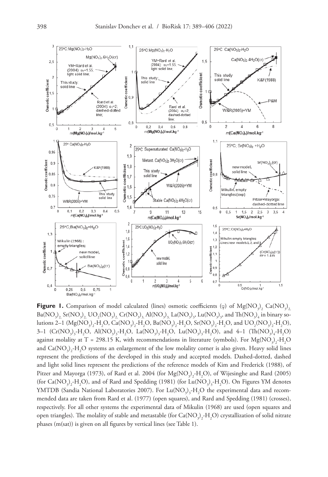

**Figure 1.** Comparison of model calculated (lines) osmotic coefficients (φ) of  $Mg(NO<sub>3</sub>)$ <sub>2</sub> Ca( $NO<sub>3</sub>)<sub>2</sub>$  ${\rm Ba}({\rm NO}_3)_2$  Sr( ${\rm NO}_3$ )<sub>2,</sub>  ${\rm UO}_2({\rm NO}_3)_2$  Cr( ${\rm NO}_3$ )<sub>3,</sub>  ${\rm Al}({\rm NO}_3)_3$ ,  ${\rm La}({\rm NO}_3)_3$ ,  ${\rm Lu}({\rm NO}_3)_3$  and  ${\rm Th}({\rm NO}_3)_4$  in binary solutions 2–1  $(Mg(NO_3)_2-H_2O, Ca(NO_3)_2-H_2O, Ba(NO_3)_2-H_2O, Sr(NO_3)_2-H_2O, and UO_2(NO_3)_2-H_2O),$ 3–1  $(Cr(NO_3)_3 - H_2O, Al(NO_3)_3 - H_2O, La(NO_3)_3 - H_2O, Lu(NO_3)_3 - H_2O), and 4-1 (Th(NO_3)_4 - H_2O)$ against molality at T = 298.15 K, with recommendations in literature (symbols). For  $Mg(NO<sub>3</sub>)<sub>2</sub> - H<sub>2</sub>O$ and  $\text{Ca}(\text{NO}_3)_2\text{-H}_2\text{O}$  systems an enlargement of the low molality corner is also given. Heavy solid lines represent the predictions of the developed in this study and accepted models. Dashed-dotted, dashed and light solid lines represent the predictions of the reference models of Kim and Frederick (1988), of Pitzer and Mayorga (1973), of Rard et al. 2004 (for  $Mg(NO_3)_2-H_2O$ ), of Wijesinghe and Rard (2005) (for Ca(NO<sub>3</sub>)<sub>2</sub>-H<sub>2</sub>O), and of Rard and Spedding (1981) (for Lu(NO<sub>3</sub>)<sub>3</sub>-H<sub>2</sub>O). On Figures YM denotes YMTDB (Sandia National Laboratories 2007). For  $\text{Lu}(\text{NO}_3)_3\text{-}\text{H}_2\text{O}$  the experimental data and recommended data are taken from Rard et al. (1977) (open squares), and Rard and Spedding (1981) (crosses), respectively. For all other systems the experimental data of Mikulin (1968) are used (open squares and open triangles). The molality of stable and metastable (for Ca(NO<sub>3</sub>)<sub>2</sub>-H<sub>2</sub>O) crystallization of solid nitrate phases (m(sat)) is given on all figures by vertical lines (see Table 1).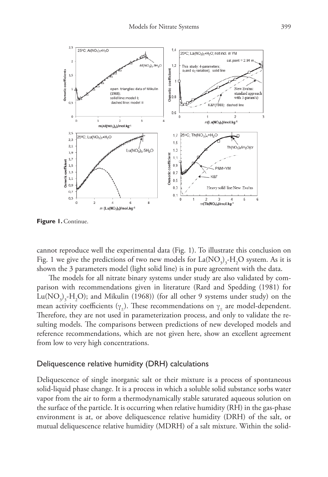

**Figure 1. Continue.** 

cannot reproduce well the experimental data (Fig. 1). To illustrate this conclusion on Fig. 1 we give the predictions of two new models for  $La(\mathrm{NO}_3)_3$ -H<sub>2</sub>O system. As it is shown the 3 parameters model (light solid line) is in pure agreement with the data.

The models for all nitrate binary systems under study are also validated by comparison with recommendations given in literature (Rard and Spedding (1981) for  $\text{Lu}(\text{NO}_3)_3\text{-H}_2\text{O})$ ; and Mikulin (1968)) (for all other 9 systems under study) on the mean activity coefficients ( $\gamma$ <sub>+</sub>). These recommendations on  $\gamma$ <sub>+</sub> are model-dependent. Therefore, they are not used in parameterization process, and only to validate the resulting models. The comparisons between predictions of new developed models and reference recommendations, which are not given here, show an excellent agreement from low to very high concentrations.

#### Deliquescence relative humidity (DRH) calculations

Deliquescence of single inorganic salt or their mixture is a process of spontaneous solid-liquid phase change. It is a process in which a soluble solid substance sorbs water vapor from the air to form a thermodynamically stable saturated aqueous solution on the surface of the particle. It is occurring when relative humidity (RH) in the gas-phase environment is at, or above deliquescence relative humidity (DRH) of the salt, or mutual deliquescence relative humidity (MDRH) of a salt mixture. Within the solid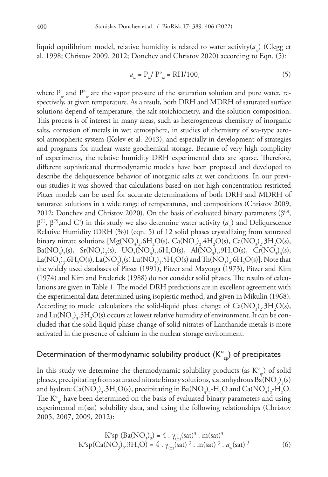liquid equilibrium model, relative humidity is related to water activity(a<sub>w</sub>) (Clegg et al. 1998; Christov 2009, 2012; Donchev and Christov 2020) according to Eqn. (5):

$$
a_w = P_w / P^{\circ}_w = RH/100,
$$
\n(5)

where P<sub>w</sub> and P<sup>°</sup><sub>w</sub> are the vapor pressure of the saturation solution and pure water, respectively, at given temperature. As a result, both DRH and MDRH of saturated surface solutions depend of temperature, the salt stoichiometry, and the solution composition. This process is of interest in many areas, such as heterogeneous chemistry of inorganic salts, corrosion of metals in wet atmosphere, in studies of chemistry of sea-type aerosol atmospheric system (Kolev et al. 2013), and especially in development of strategies and programs for nuclear waste geochemical storage. Because of very high complicity of experiments, the relative humidity DRH experimental data are sparse. Therefore, different sophisticated thermodynamic models have been proposed and developed to describe the deliquescence behavior of inorganic salts at wet conditions. In our previous studies it was showed that calculations based on not high concentration restricted Pitzer models can be used for accurate determinations of both DRH and MDRH of saturated solutions in a wide range of temperatures, and compositions (Christov 2009, 2012; Donchev and Christov 2020). On the basis of evaluated binary parameters ( $\beta^{(0)}$ , β<sup>(1)</sup>, β<sup>(2)</sup>, and C<sup>φ</sup>) in this study we also determine water activity ( $a<sub>w</sub>$ ) and Deliquescence Relative Humidity (DRH (%)) (eqn. 5) of 12 solid phases crystallizing from saturated binary nitrate solutions  $[Mg(NO_3)_2.6H_2O(s), Ca(NO_3)_2.4H_2O(s), Ca(NO_3)_2.3H_2O(s),$  $Ba(NO<sub>3</sub>)<sub>2</sub>(s)$ ,  $Sr(NO<sub>3</sub>)<sub>2</sub>(s)$ ,  $UO<sub>2</sub>(NO<sub>3</sub>)<sub>2</sub>·6H<sub>2</sub>O(s)$ ,  $Al(NO<sub>3</sub>)<sub>3</sub>·9H<sub>2</sub>O(s)$ ,  $Cr(NO<sub>3</sub>)<sub>3</sub>(s)$ , La(NO<sub>3</sub>)<sub>3</sub>.6H<sub>2</sub>O(s), La(NO<sub>3</sub>)<sub>3</sub>(s) Lu(NO<sub>3</sub>)<sub>3</sub>.5H<sub>2</sub>O(s) and Th(NO<sub>3</sub>)<sub>4</sub>.6H<sub>2</sub>O(s)]. Note that the widely used databases of Pitzer (1991), Pitzer and Mayorga (1973), Pitzer and Kim (1974) and Kim and Frederick (1988) do not consider solid phases. The results of calculations are given in Table 1. The model DRH predictions are in excellent agreement with the experimental data determined using isopiestic method, and given in Mikulin (1968). According to model calculations the solid-liquid phase change of  $Ca(\text{NO}_3)_2.3\text{H}_2\text{O(s)}$ , and  $\text{Lu}(\text{NO}_3)_3\text{,}5\text{H}_2\text{O}$ (s) occurs at lowest relative humidity of environment. It can be concluded that the solid-liquid phase change of solid nitrates of Lanthanide metals is more activated in the presence of calcium in the nuclear storage environment.

# Determination of thermodynamic solubility product  $(K^{\circ}_{\infty})$  of precipitates

In this study we determine the thermodynamic solubility products (as  $K_{so}^{\circ}$ ) of solid phases, precipitating from saturated nitrate binary solutions, s.a. anhydrous Ba(NO<sub>3</sub>)<sub>2</sub>(s) and hydrate Ca(NO<sub>3</sub>)<sub>2</sub>.3H<sub>2</sub>O(s), precipitating in Ba(NO<sub>3</sub>)<sub>2</sub>-H<sub>2</sub>O and Ca(NO<sub>3</sub>)<sub>2</sub>-H<sub>2</sub>O. The  $K_{\text{ex}}^{\circ}$  have been determined on the basis of evaluated binary parameters and using experimental m(sat) solubility data, and using the following relationships (Christov 2005, 2007, 2009, 2012):

$$
K^{\circ}sp(Ba(NO_3)_2) = 4 \cdot \gamma_{(\pm)}(sat)^3 \cdot m(sat)^3
$$
  

$$
K^{\circ}sp(Ca(NO_3)_2 \cdot 3H_2O) = 4 \cdot \gamma_{(\pm)}(sat)^3 \cdot m(sat)^3 \cdot a_w(sat)^3
$$
 (6)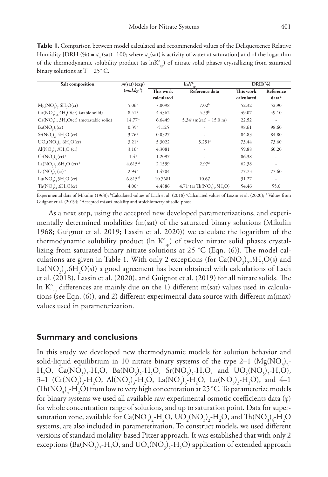**Table 1.** Comparison between model calculated and recommended values of the Deliquescence Relative Humidity [DRH (%) =  $a_w$  (sat). 100; where  $a_w$  (sat) is activity of water at saturation] and of the logarithm of the thermodynamic solubility product (as  $lnK<sub>°s</sub>$ ) of nitrate solid phases crystallizing from saturated binary solutions at  $T = 25^{\circ}$  C.

| Salt composition                                                       | $ln K^{\circ}$<br>m(sat)(exp) |            |                                                                          | $DRH(\% )$ |                          |
|------------------------------------------------------------------------|-------------------------------|------------|--------------------------------------------------------------------------|------------|--------------------------|
|                                                                        | (mol.kg')                     | This work  | Reference data                                                           | This work  | Reference                |
|                                                                        |                               | calculated |                                                                          | calculated | data <sup>a</sup>        |
| $Mg(NO3), 6H2O(cr)$                                                    | 5.06 <sup>a</sup>             | 7.0098     | 7.02 <sup>b</sup>                                                        | 52.32      | 52.90                    |
| $Ca(NO3)$ , 4H, $O(cr)$ (stable solid)                                 | 8.41 <sup>a</sup>             | 4.4362     | 4.53 <sup>b</sup>                                                        | 49.07      | 49.10                    |
| $Ca(NO3)$ , $3H3O(cr)$ (metastable solid)                              | $14.77^{\circ}$               | 6.6449     | $5.34b$ (m(sat) = 15.0 m)                                                | 22.52      | ٠                        |
| Ba(NO <sub>3</sub> )(cr)                                               | 0.39 <sup>a</sup>             | $-5.125$   |                                                                          | 98.61      | 98.60                    |
| Sr(NO <sub>2</sub> ), .4H, O (cr)                                      | 3.76 <sup>a</sup>             | 0.0327     | ٠                                                                        | 84.83      | 84.80                    |
| $UO2(NO3)2$ .6H <sub>2</sub> O(cr)                                     | 3.21 <sup>a</sup>             | 5.3022     | $5.251$ °                                                                | 73.44      | 73.60                    |
| $Al(NO2)2$ .9H,O (cr)                                                  | 3.16 <sup>a</sup>             | 4.3081     | ٠                                                                        | 59.88      | 60.20                    |
| $Cr(NO_3)$ <sub>3</sub> (cr) <sup>e</sup>                              | 1.4 <sup>e</sup>              | 1.2097     |                                                                          | 86.38      | $\overline{\phantom{a}}$ |
| La(NO <sub>2</sub> ) <sub>2</sub> .6H <sub>2</sub> O (cr) <sup>d</sup> | 4.615 <sup>d</sup>            | 2.1599     | 2.97 <sup>d</sup>                                                        | 62.38      | ٠                        |
| $La(NO3)3(cr)3$                                                        | 2.94 <sup>a</sup>             | 1.4704     |                                                                          | 77.73      | 77.60                    |
| $Lu(NO2)2 5H2O (cr)$                                                   | $6.815$ <sup>d</sup>          | 10.7681    | 10.67                                                                    | 31.27      | ٠                        |
| $Th(NO2)4$ .6H <sub>2</sub> O(cr)                                      | 4.00 <sup>a</sup>             | 4.4886     | $4.71^{\circ}$ (as Th(NO <sub>2</sub> ) <sub>4</sub> .5H <sub>2</sub> O) | 54.46      | 55.0                     |

Experimental data of Mikulin (1968); <sup>b</sup>Calculated values of Lach et al. (2018) <sup>c</sup>Calculated values of Lassin et al. (2020); <sup>d</sup> Values from Guignot et al. (2019); <sup>e</sup> Accepted m(sat) molality and stoichiometry of solid phase.

As a next step, using the accepted new developed parameterizations, and experimentally determined molalities (m(sat) of the saturated binary solutions (Mikulin 1968; Guignot et al. 2019; Lassin et al. 2020)) we calculate the logarithm of the thermodynamic solubility product (ln  $K^{\circ}_{\infty}$ ) of twelve nitrate solid phases crystallizing from saturated binary nitrate solutions at 25 °C (Eqn. (6)). The model calculations are given in Table 1. With only 2 exceptions (for  $Ca(\text{NO}_3)_2.3\text{H}_2\text{O(s)}$  and  $\text{La}(\text{NO}_3)_3\text{.}6\text{H}_2\text{O(s)})$  a good agreement has been obtained with calculations of Lach et al. (2018), Lassin et al. (2020), and Guignot et al. (2019) for all nitrate solids. The In  $K^{\circ}$  differences are mainly due on the 1) different m(sat) values used in calculations (see Eqn. (6)), and 2) different experimental data source with different m(max) values used in parameterization.

# **Summary and conclusions**

In this study we developed new thermodynamic models for solution behavior and solid-liquid equilibrium in 10 nitrate binary systems of the type 2–1  $(Mg(NO<sub>3</sub>)<sub>2</sub>$ - $H_2O$ ,  $Ca(NO_3)_2-H_2O$ ,  $Ba(NO_3)_2-H_2O$ ,  $Sr(NO_3)_2-H_2O$ , and  $UO_2(NO_3)_2-H_2O$ ), 3–1  $(Cr(NO_3)_3-H_2O, Al(NO_3)_3-H_2O, La(NO_3)_3-H_2O, Lu(NO_3)_3-H_2O), and 4-1$ (Th(NO<sub>3</sub>)<sub>4</sub>-H<sub>2</sub>O) from low to very high concentration at 25 °C. To parameterize models for binary systems we used all available raw experimental osmotic coefficients data (φ) for whole concentration range of solutions, and up to saturation point. Data for supersaturation zone, available for Ca(NO<sub>3</sub>)<sub>2</sub>-H<sub>2</sub>O, UO<sub>2</sub>(NO<sub>3</sub>)<sub>2</sub>-H<sub>2</sub>O, and Th(NO<sub>3</sub>)<sub>4</sub>-H<sub>2</sub>O systems, are also included in parameterization. To construct models, we used different versions of standard molality-based Pitzer approach. It was established that with only 2 exceptions  $(Ba(NO<sub>3</sub>)<sub>2</sub>-H<sub>2</sub>O$ , and  $UO<sub>2</sub>(NO<sub>3</sub>)<sub>2</sub>-H<sub>2</sub>O)$  application of extended approach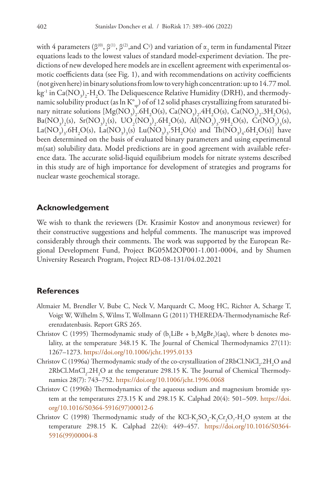with 4 parameters (β<sup>(0)</sup>, β<sup>(1)</sup>, β<sup>(2)</sup>,and C<sup>φ</sup>) and variation of  $\alpha$ <sub>2</sub> term in fundamental Pitzer equations leads to the lowest values of standard model-experiment deviation. The predictions of new developed here models are in excellent agreement with experimental osmotic coefficients data (see Fig. 1), and with recommendations on activity coefficients (not given here) in binary solutions from low to very high concentration: up to 14.77 mol. kg<sup>-1</sup> in Ca(NO<sub>3</sub>)<sub>2</sub>-H<sub>2</sub>O. The Deliquescence Relative Humidity (DRH), and thermodynamic solubility product (as  $\ln K^\circ_{sp}$ ) of of 12 solid phases crystallizing from saturated binary nitrate solutions  $[Mg(NO_3)_2.6H_2O(s), Ca(NO_3)_2.4H_2O(s), Ca(NO_3)_2.3H_2O(s),$  $Ba(NO<sub>3</sub>)<sub>2</sub>(s), Sr(NO<sub>3</sub>)<sub>2</sub>(s), UO<sub>2</sub>(NO<sub>3</sub>)<sub>2</sub>.6H<sub>2</sub>O(s), Al(NO<sub>3</sub>)<sub>3</sub>.9H<sub>2</sub>O(s), Cr(NO<sub>3</sub>)<sub>3</sub>(s),$ La(NO<sub>3</sub>)<sub>3</sub>.6H<sub>2</sub>O(s), La(NO<sub>3</sub>)<sub>3</sub>(s) Lu(NO<sub>3</sub>)<sub>3</sub>.5H<sub>2</sub>O(s) and Th(NO<sub>3</sub>)<sub>4</sub>.6H<sub>2</sub>O(s)] have been determined on the basis of evaluated binary parameters and using experimental m(sat) solubility data. Model predictions are in good agreement with available reference data. The accurate solid-liquid equilibrium models for nitrate systems described in this study are of high importance for development of strategies and programs for nuclear waste geochemical storage.

## **Acknowledgement**

We wish to thank the reviewers (Dr. Krasimir Kostov and anonymous reviewer) for their constructive suggestions and helpful comments. The manuscript was improved considerably through their comments. The work was supported by the European Regional Development Fund, Project BG05M2OP001-1.001-0004, and by Shumen University Research Program, Project RD-08-131/04.02.2021

#### **References**

- Altmaier M, Brendler V, Bube C, Neck V, Marquardt C, Moog HC, Richter A, Scharge T, Voigt W, Wilhelm S, Wilms T, Wollmann G (2011) THEREDA-Thermodynamische Referenzdatenbasis. Report GRS 265.
- Christov C (1995) Thermodynamic study of  $(b_1LiBr + b_2MgBr_2)(aq)$ , where b denotes molality, at the temperature 348.15 K. The Journal of Chemical Thermodynamics 27(11): 1267–1273.<https://doi.org/10.1006/jcht.1995.0133>
- Christov C (1996a) Thermodynamic study of the co-crystallization of 2RbCl.NiCl<sub>2</sub>.2H<sub>2</sub>O and  $2{\rm RbCl}.{\rm MnCl}_{_2}$ . $2{\rm H}_{_2}{\rm O}$  at the temperature 298.15 K. The Journal of Chemical Thermodynamics 28(7): 743–752.<https://doi.org/10.1006/jcht.1996.0068>
- Christov C (1996b) Thermodynamics of the aqueous sodium and magnesium bromide system at the temperatures  $273.15$  K and  $298.15$  K. Calphad  $20(4)$ : 501–509. [https://doi.](https://doi.org/10.1016/S0364-5916(97)00012-6) [org/10.1016/S0364-5916\(97\)00012-6](https://doi.org/10.1016/S0364-5916(97)00012-6)
- Christov C (1998) Thermodynamic study of the KCl-K<sub>2</sub>SO<sub>4</sub>-K<sub>2</sub>Cr<sub>2</sub>O<sub>7</sub>-H<sub>2</sub>O system at the temperature 298.15 K. Calphad 22(4): 449–457. [https://doi.org/10.1016/S0364-](https://doi.org/10.1016/S0364-5916(99)00004-8) [5916\(99\)00004-8](https://doi.org/10.1016/S0364-5916(99)00004-8)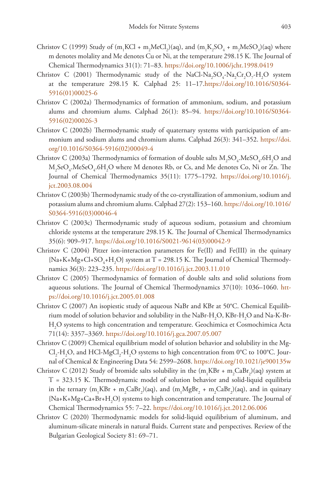- Christov C (1999) Study of (m<sub>1</sub>KCl + m<sub>2</sub>MeCl<sub>2</sub>)(aq), and (m<sub>1</sub>K<sub>2</sub>SO<sub>4</sub> + m<sub>2</sub>MeSO<sub>4</sub>)(aq) where m denotes molality and Me denotes Cu or Ni, at the temperature 298.15 K. The Journal of Chemical Thermodynamics 31(1): 71–83. <https://doi.org/10.1006/jcht.1998.0419>
- Christov C (2001) Thermodynamic study of the NaCl-Na<sub>2</sub>SO<sub>4</sub>-Na<sub>2</sub>Cr<sub>2</sub>O<sub>7</sub>-H<sub>2</sub>O system at the temperature 298.15 K. Calphad 25: 11–17.[https://doi.org/10.1016/S0364-](https://doi.org/10.1016/S0364-5916(01)00025-6) [5916\(01\)00025-6](https://doi.org/10.1016/S0364-5916(01)00025-6)
- Christov C (2002a) Thermodynamics of formation of ammonium, sodium, and potassium alums and chromium alums. Calphad 26(1): 85–94. [https://doi.org/10.1016/S0364-](https://doi.org/10.1016/S0364-5916(02)00026-3) [5916\(02\)00026-3](https://doi.org/10.1016/S0364-5916(02)00026-3)
- Christov C (2002b) Thermodynamic study of quaternary systems with participation of ammonium and sodium alums and chromium alums. Calphad 26(3): 341–352. [https://doi.](https://doi.org/10.1016/S0364-5916(02)00049-4) [org/10.1016/S0364-5916\(02\)00049-4](https://doi.org/10.1016/S0364-5916(02)00049-4)
- Christov C (2003a) Thermodynamics of formation of double salts  $M_2SO_4$ .MeS $O_4$ .6H<sub>2</sub>O and  $\rm M_2SeO_4$ . $\rm MeSeO_4$ . $\rm 6H_2O$  where  $\rm M$  denotes Rb, or Cs, and Me denotes Co, Ni or Zn. The Journal of Chemical Thermodynamics 35(11): 1775–1792. [https://doi.org/10.1016/j.](https://doi.org/10.1016/j.jct.2003.08.004) [jct.2003.08.004](https://doi.org/10.1016/j.jct.2003.08.004)
- Christov C (2003b) Thermodynamic study of the co-crystallization of ammonium, sodium and potassium alums and chromium alums. Calphad 27(2): 153–160. [https://doi.org/10.1016/](https://doi.org/10.1016/S0364-5916(03)00046-4) [S0364-5916\(03\)00046-4](https://doi.org/10.1016/S0364-5916(03)00046-4)
- Christov C (2003c) Thermodynamic study of aqueous sodium, potassium and chromium chloride systems at the temperature 298.15 K. The Journal of Chemical Thermodynamics 35(6): 909–917. [https://doi.org/10.1016/S0021-9614\(03\)00042-9](https://doi.org/10.1016/S0021-9614(03)00042-9)
- Christov C (2004) Pitzer ion-interaction parameters for Fe(II) and Fe(III) in the quinary {Na+K+Mg+Cl+SO<sub>4</sub>+H<sub>2</sub>O} system at T = 298.15 K. The Journal of Chemical Thermodynamics 36(3): 223-235.<https://doi.org/10.1016/j.jct.2003.11.010>
- Christov C (2005) Thermodynamics of formation of double salts and solid solutions from aqueous solutions. The Journal of Chemical Thermodynamics 37(10): 1036–1060. [htt](https://doi.org/10.1016/j.jct.2005.01.008)[ps://doi.org/10.1016/j.jct.2005.01.008](https://doi.org/10.1016/j.jct.2005.01.008)
- Christov C (2007) An isopiestic study of aqueous NaBr and KBr at 50°C. Chemical Equilibrium model of solution behavior and solubility in the NaBr-H<sub>2</sub>O, KBr-H<sub>2</sub>O and Na-K-Br-H2 O systems to high concentration and temperature. Geochimica et Cosmochimica Acta 71(14): 3357–3369. <https://doi.org/10.1016/j.gca.2007.05.007>
- Christov C (2009) Chemical equilibrium model of solution behavior and solubility in the Mg- $\text{Cl}_2\text{-H}_2\text{O}$ , and  $\text{HCl-MgCl}_2\text{-H}_2\text{O}$  systems to high concentration from 0°C to 100°C. Journal of Chemical & Engineering Data 54: 2599–2608.<https://doi.org/10.1021/je900135w>
- Christov C (2012) Study of bromide salts solubility in the  $(m_1KBr + m_2CaBr_2)(aq)$  system at T = 323.15 K. Thermodynamic model of solution behavior and solid-liquid equilibria in the ternary (m<sub>1</sub>KBr + m<sub>2</sub>CaBr<sub>2</sub>)(aq), and (m<sub>1</sub>MgBr<sub>2</sub> + m<sub>2</sub>CaBr<sub>2</sub>)(aq), and in quinary  ${Na+K+Mg+Ca+Br+H}_{2}$  systems to high concentration and temperature. The Journal of Chemical Thermodynamics 55: 7–22. <https://doi.org/10.1016/j.jct.2012.06.006>
- Christov C (2020) Thermodynamic models for solid-liquid equilibrium of aluminum, and aluminum-silicate minerals in natural fluids. Current state and perspectives. Review of the Bulgarian Geological Society 81: 69–71.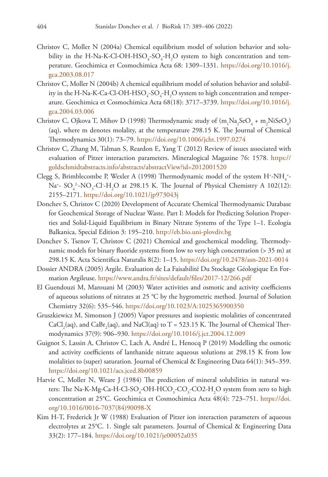- Christov C, Moller N (2004a) Chemical equilibrium model of solution behavior and solubility in the H-Na-K-Cl-OH-HSO<sub>4</sub>-SO<sub>4</sub>-H<sub>2</sub>O system to high concentration and temperature. Geochimica et Cosmochimica Acta 68: 1309–1331. [https://doi.org/10.1016/j.](https://doi.org/10.1016/j.gca.2003.08.017) [gca.2003.08.017](https://doi.org/10.1016/j.gca.2003.08.017)
- Christov C, Moller N (2004b) A chemical equilibrium model of solution behavior and solubility in the H-Na-K-Ca-Cl-OH-HSO<sub>4</sub>-SO<sub>4</sub>-H<sub>2</sub>O system to high concentration and temperature. Geochimica et Cosmochimica Acta 68(18): 3717–3739. [https://doi.org/10.1016/j.](https://doi.org/10.1016/j.gca.2004.03.006) [gca.2004.03.006](https://doi.org/10.1016/j.gca.2004.03.006)
- Christov C, Ojkova T, Mihov D (1998) Thermodynamic study of  $(m_1Na_2SeO_4 + m_2NiSeO_4)$ (aq), where m denotes molality, at the temperature 298.15 K. The Journal of Chemical Thermodynamics 30(1): 73–79.<https://doi.org/10.1006/jcht.1997.0274>
- Christov C, Zhang M, Talman S, Reardon E, Yang T (2012) Review of issues associated with evaluation of Pitzer interaction parameters. Mineralogical Magazine 76: 1578. [https://](https://goldschmidtabstracts.info/abstracts/abstractView?id=2012001520) [goldschmidtabstracts.info/abstracts/abstractView?id=2012001520](https://goldschmidtabstracts.info/abstracts/abstractView?id=2012001520)
- Clegg S, Brimblecombe P, Wexler A (1998) Thermodynamic model of the system  $H^{\ast}$ -NH<sub>4</sub><sup>+</sup>-Na<sup>+</sup>- SO<sub>4</sub><sup>2</sup>-NO<sub>3</sub>-Cl<sup>-</sup>-H<sub>2</sub>O at 298.15 K. The Journal of Physical Chemistry A 102(12): 2155–2171.<https://doi.org/10.1021/jp973043j>
- Donchev S, Christov C (2020) Development of Accurate Chemical Thermodynamic Database for Geochemical Storage of Nuclear Waste. Part I: Models for Predicting Solution Properties and Solid-Liquid Equilibrium in Binary Nitrate Systems of the Type 1–1. Ecologia Balkanica, Special Edition 3: 195–210. <http://eb.bio.uni-plovdiv.bg>
- Donchev S, Tsenov T, Christov C (2021) Chemical and geochemical modeling. Thermodynamic models for binary fluoride systems from low to very high concentration (> 35 m) at 298.15 K. Acta Scientifica Naturalis 8(2): 1–15.<https://doi.org/10.2478/asn-2021-0014>
- Dossier ANDRA (2005) Argile. Evaluation de La Faisabilité Du Stockage Géologique En Formation Argileuse. <https://www.andra.fr/sites/default/files/2017-12/266.pdf>
- El Guendouzi M, Marouani M (2003) Water activities and osmotic and activity coefficients of aqueous solutions of nitrates at 25 °C by the hygrometric method. Journal of Solution Chemistry 32(6): 535–546.<https://doi.org/10.1023/A:1025365900350>
- Gruszkiewicz M, Simonson J (2005) Vapor pressures and isopiestic molalities of concentrated  $\rm CaCl_{2}(aq),$  and  $\rm CaBr_{2}(aq),$  and  $\rm NaCl(aq)$  to T = 523.15 K. The Journal of Chemical Thermodynamics 37(9): 906–930. <https://doi.org/10.1016/j.jct.2004.12.009>
- Guignot S, Lassin A, Christov C, Lach A, André L, Henocq P (2019) Modelling the osmotic and activity coefficients of lanthanide nitrate aqueous solutions at 298.15 K from low molalities to (super) saturation. Journal of Chemical & Engineering Data 64(1): 345–359. <https://doi.org/10.1021/acs.jced.8b00859>
- Harvie C, Moller N, Weare J (1984) The prediction of mineral solubilities in natural waters: The Na-K-Mg-Ca-H-Cl-SO<sub>4</sub>-OH-HCO<sub>3</sub>-CO<sub>3</sub>-CO2-H<sub>2</sub>O system from zero to high concentration at 25°C. Geochimica et Cosmochimica Acta 48(4): 723–751. [https://doi.](https://doi.org/10.1016/0016-7037(84)90098-X) [org/10.1016/0016-7037\(84\)90098-X](https://doi.org/10.1016/0016-7037(84)90098-X)
- Kim H-T, Frederick Jr W (1988) Evaluation of Pitzer ion interaction parameters of aqueous electrolytes at 25°C. 1. Single salt parameters. Journal of Chemical & Engineering Data 33(2): 177–184. <https://doi.org/10.1021/je00052a035>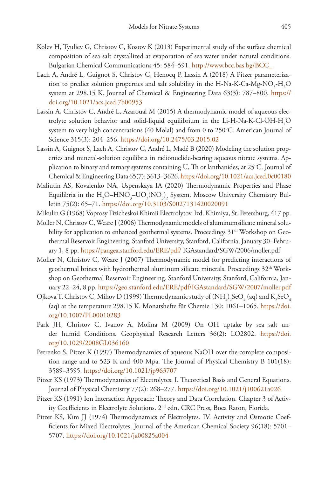- Kolev H, Tyuliev G, Christov C, Kostov K (2013) Experimental study of the surface chemical composition of sea salt crystallized at evaporation of sea water under natural conditions. Bulgarian Chemical Communications 45: 584–591. [http://www.bcc.bas.bg/BCC\\_](http://www.bcc.bas.bg/BCC_)
- Lach A, André L, Guignot S, Christov C, Henocq P, Lassin A (2018) A Pitzer parameterization to predict solution properties and salt solubility in the H-Na-K-Ca-Mg-NO<sub>3</sub>-H<sub>2</sub>O system at 298.15 K. Journal of Chemical & Engineering Data 63(3): 787–800. [https://](https://doi.org/10.1021/acs.jced.7b00953) [doi.org/10.1021/acs.jced.7b00953](https://doi.org/10.1021/acs.jced.7b00953)
- Lassin A, Christov C, André L, Azaroual M (2015) A thermodynamic model of aqueous electrolyte solution behavior and solid-liquid equilibrium in the Li-H-Na-K-Cl-OH- $\rm H_2O$ system to very high concentrations (40 Molal) and from 0 to 250°C. American Journal of Science 315(3): 204–256. <https://doi.org/10.2475/03.2015.02>
- Lassin A, Guignot S, Lach A, Christov C, André L, Madé B (2020) Modeling the solution properties and mineral-solution equilibria in radionuclide-bearing aqueous nitrate systems. Application to binary and ternary systems containing U, Th or lanthanides, at 25°C. Journal of Chemical & Engineering Data 65(7): 3613–3626.<https://doi.org/10.1021/acs.jced.0c00180>
- Maliutin AS, Kovalenko NA, Uspenskaya IA (2020) Thermodynamic Properties and Phase Equilibria in the  $\rm H_2O{\rm -HNO_3^{\rm -}UO_2(NO_3)_2}$  System. Moscow University Chemistry Bulletin 75(2): 65–71. <https://doi.org/10.3103/S0027131420020091>
- Mikulin G (1968) Voprosy Fizicheskoi Khimii Electrolytov. Izd. Khimiya, St. Petersburg, 417 pp.
- Moller N, Christov C, Weare J (2006) Thermodynamic models of aluminumsilicate mineral solubility for application to enhanced geothermal systems. Proceedings 31<sup>th</sup> Workshop on Geothermal Reservoir Engineering. Stanford University, Stanford, California, January 30–February 1, 8 pp.<https://pangea.stanford.edu/ERE/pdf/>IGAstandard/SGW/2006/moller.pdf
- Moller N, Christov C, Weare J (2007) Thermodynamic model for predicting interactions of geothermal brines with hydrothermal aluminum silicate minerals. Proceedings 32th Workshop on Geothermal Reservoir Engineering. Stanford University, Stanford, California, January 22–24, 8 pp.<https://geo.stanford.edu/ERE/pdf/IGAstandard/SGW/2007/moller.pdf>
- Ojkova T, Christov C, Mihov D (1999) Thermodynamic study of (NH<sub>4</sub>)<sub>2</sub>SeO<sub>4</sub> (aq) and K<sub>2</sub>SeO<sub>4</sub> (aq) at the temperature 298.15 K. Monatshefte für Chemie 130: 1061–1065. [https://doi.](https://doi.org/10.1007/PL00010283) [org/10.1007/PL00010283](https://doi.org/10.1007/PL00010283)
- Park JH, Christov C, Ivanov A, Molina M (2009) On OH uptake by sea salt under humid Conditions. Geophysical Research Letters 36(2): LO2802. [https://doi.](https://doi.org/10.1029/2008GL036160) [org/10.1029/2008GL036160](https://doi.org/10.1029/2008GL036160)
- Petrenko S, Pitzer K (1997) Thermodynamics of aqueous NaOH over the complete composition range and to 523 K and 400 Mpa. The Journal of Physical Chemistry B 101(18): 3589–3595.<https://doi.org/10.1021/jp963707>
- Pitzer KS (1973) Thermodynamics of Electrolytes. I. Theoretical Basis and General Equations. Journal of Physical Chemistry 77(2): 268–277. <https://doi.org/10.1021/j100621a026>
- Pitzer KS (1991) Ion Interaction Approach: Theory and Data Correlation. Chapter 3 of Activity Coefficients in Electrolyte Solutions. 2nd edn. CRC Press, Boca Raton, Florida.
- Pitzer KS, Kim JJ (1974) Thermodynamics of Electrolytes. IV. Activity and Osmotic Coefficients for Mixed Electrolytes. Journal of the American Chemical Society 96(18): 5701– 5707.<https://doi.org/10.1021/ja00825a004>